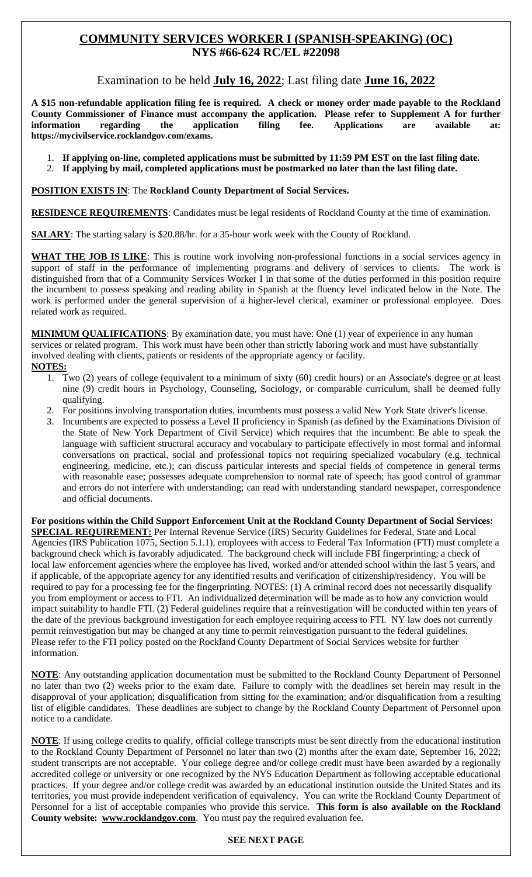# **COMMUNITY SERVICES WORKER I (SPANISH-SPEAKING) (OC) NYS #66-624 RC/EL #22098**

Examination to be held **July 16, 2022**; Last filing date **June 16, 2022**

**A \$15 non-refundable application filing fee is required. A check or money order made payable to the Rockland County Commissioner of Finance must accompany the application. Please refer to Supplement A for further information regarding the application filing fee. Applications are available at: https://mycivilservice.rocklandgov.com/exams.**

- 1. **If applying on-line, completed applications must be submitted by 11:59 PM EST on the last filing date.**
- 2. **If applying by mail, completed applications must be postmarked no later than the last filing date.**

**POSITION EXISTS IN**: The **Rockland County Department of Social Services.**

**RESIDENCE REQUIREMENTS**: Candidates must be legal residents of Rockland County at the time of examination.

**SALARY**: The starting salary is \$20.88/hr. for a 35-hour work week with the County of Rockland.

**WHAT THE JOB IS LIKE**: This is routine work involving non-professional functions in a social services agency in support of staff in the performance of implementing programs and delivery of services to clients. The work is distinguished from that of a Community Services Worker I in that some of the duties performed in this position require the incumbent to possess speaking and reading ability in Spanish at the fluency level indicated below in the Note. The work is performed under the general supervision of a higher-level clerical, examiner or professional employee. Does related work as required.

**MINIMUM QUALIFICATIONS**: By examination date, you must have: One (1) year of experience in any human services or related program. This work must have been other than strictly laboring work and must have substantially involved dealing with clients, patients or residents of the appropriate agency or facility. **NOTES:**

- 1. Two (2) years of college (equivalent to a minimum of sixty (60) credit hours) or an Associate's degree or at least nine (9) credit hours in Psychology, Counseling, Sociology, or comparable curriculum, shall be deemed fully qualifying.
- 2. For positions involving transportation duties, incumbents must possess a valid New York State driver's license.
- 3. Incumbents are expected to possess a Level II proficiency in Spanish (as defined by the Examinations Division of the State of New York Department of Civil Service) which requires that the incumbent: Be able to speak the language with sufficient structural accuracy and vocabulary to participate effectively in most formal and informal conversations on practical, social and professional topics not requiring specialized vocabulary (e.g. technical engineering, medicine, etc.); can discuss particular interests and special fields of competence in general terms with reasonable ease; possesses adequate comprehension to normal rate of speech; has good control of grammar and errors do not interfere with understanding; can read with understanding standard newspaper, correspondence and official documents.

**For positions within the Child Support Enforcement Unit at the Rockland County Department of Social Services: SPECIAL REQUIREMENT:** Per Internal Revenue Service (IRS) Security Guidelines for Federal, State and Local Agencies (IRS Publication 1075, Section 5.1.1), employees with access to Federal Tax Information (FTI) must complete a background check which is favorably adjudicated. The background check will include FBI fingerprinting; a check of local law enforcement agencies where the employee has lived, worked and/or attended school within the last 5 years, and if applicable, of the appropriate agency for any identified results and verification of citizenship/residency. You will be required to pay for a processing fee for the fingerprinting. NOTES: (1) A criminal record does not necessarily disqualify you from employment or access to FTI. An individualized determination will be made as to how any conviction would impact suitability to handle FTI. (2) Federal guidelines require that a reinvestigation will be conducted within ten years of the date of the previous background investigation for each employee requiring access to FTI. NY law does not currently permit reinvestigation but may be changed at any time to permit reinvestigation pursuant to the federal guidelines. Please refer to the FTI policy posted on the Rockland County Department of Social Services website for further information.

**NOTE**: Any outstanding application documentation must be submitted to the Rockland County Department of Personnel no later than two (2) weeks prior to the exam date. Failure to comply with the deadlines set herein may result in the disapproval of your application; disqualification from sitting for the examination; and/or disqualification from a resulting list of eligible candidates. These deadlines are subject to change by the Rockland County Department of Personnel upon notice to a candidate.

**NOTE**: If using college credits to qualify, official college transcripts must be sent directly from the educational institution to the Rockland County Department of Personnel no later than two (2) months after the exam date, September 16, 2022; student transcripts are not acceptable. Your college degree and/or college credit must have been awarded by a regionally accredited college or university or one recognized by the NYS Education Department as following acceptable educational practices. If your degree and/or college credit was awarded by an educational institution outside the United States and its territories, you must provide independent verification of equivalency. You can write the Rockland County Department of Personnel for a list of acceptable companies who provide this service. **This form is also available on the Rockland County website: www.rocklandgov.com**.You must pay the required evaluation fee.

#### **SEE NEXT PAGE**